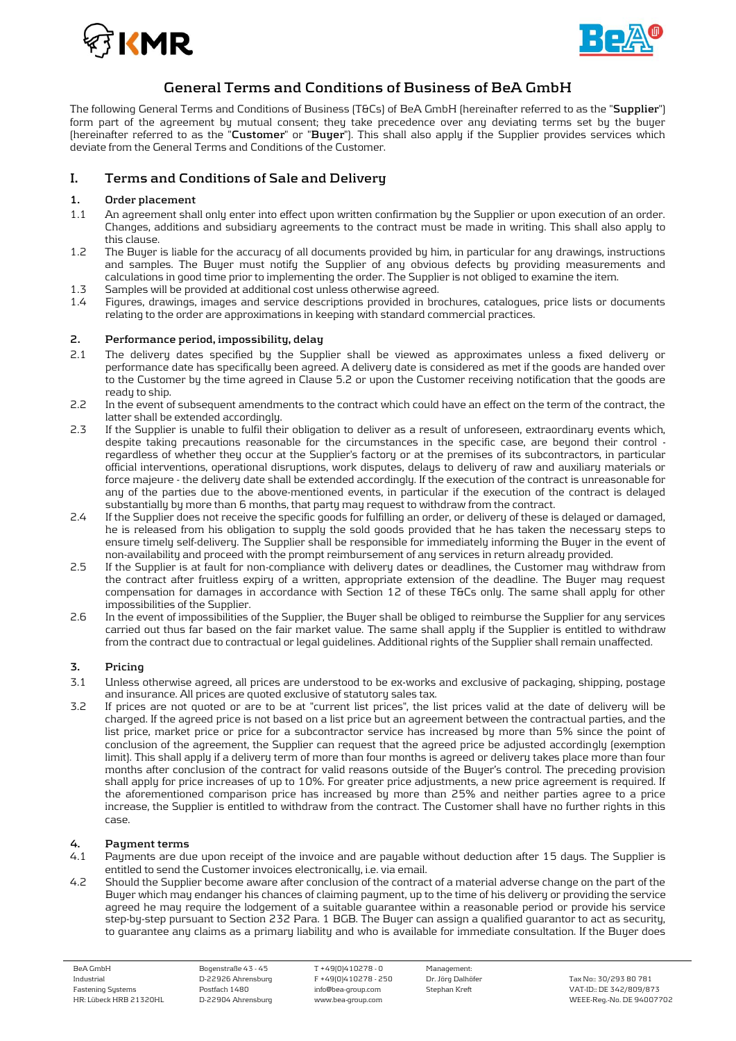



# **General Terms and Conditions of Business of BeA GmbH**

The following General Terms and Conditions of Business (T&Cs) of BeA GmbH (hereinafter referred to as the "**Supplier**") form part of the agreement by mutual consent; they take precedence over any deviating terms set by the buyer (hereinafter referred to as the "**Customer**" or "**Buyer**"). This shall also apply if the Supplier provides services which deviate from the General Terms and Conditions of the Customer.

# **I. Terms and Conditions of Sale and Delivery**

# **1. Order placement**

- 1.1 An agreement shall only enter into effect upon written confirmation by the Supplier or upon execution of an order. Changes, additions and subsidiary agreements to the contract must be made in writing. This shall also apply to this clause.
- 1.2 The Buyer is liable for the accuracy of all documents provided by him, in particular for any drawings, instructions and samples. The Buyer must notify the Supplier of any obvious defects by providing measurements and calculations in good time prior to implementing the order. The Supplier is not obliged to examine the item.
- 1.3 Samples will be provided at additional cost unless otherwise agreed.<br>1.4 Figures, drawings, images and service descriptions provided in bro
- 1.4 Figures, drawings, images and service descriptions provided in brochures, catalogues, price lists or documents relating to the order are approximations in keeping with standard commercial practices.

## **2. Performance period, impossibility, delay**

- 2.1 The delivery dates specified by the Supplier shall be viewed as approximates unless a fixed delivery or performance date has specifically been agreed. A delivery date is considered as met if the goods are handed over to the Customer by the time agreed in Clause 5.2 or upon the Customer receiving notification that the goods are ready to ship.
- 2.2 In the event of subsequent amendments to the contract which could have an effect on the term of the contract, the latter shall be extended accordingly.
- 2.3 If the Supplier is unable to fulfil their obligation to deliver as a result of unforeseen, extraordinary events which, despite taking precautions reasonable for the circumstances in the specific case, are beyond their control regardless of whether they occur at the Supplier's factory or at the premises of its subcontractors, in particular official interventions, operational disruptions, work disputes, delays to delivery of raw and auxiliary materials or force majeure - the delivery date shall be extended accordingly. If the execution of the contract is unreasonable for any of the parties due to the above-mentioned events, in particular if the execution of the contract is delayed substantially by more than 6 months, that party may request to withdraw from the contract.
- 2.4 If the Supplier does not receive the specific goods for fulfilling an order, or delivery of these is delayed or damaged, he is released from his obligation to supply the sold goods provided that he has taken the necessary steps to ensure timely self-delivery. The Supplier shall be responsible for immediately informing the Buyer in the event of non-availability and proceed with the prompt reimbursement of any services in return already provided.
- 2.5 If the Supplier is at fault for non-compliance with delivery dates or deadlines, the Customer may withdraw from the contract after fruitless expiry of a written, appropriate extension of the deadline. The Buyer may request compensation for damages in accordance with Section 12 of these T&Cs only. The same shall apply for other impossibilities of the Supplier.
- 2.6 In the event of impossibilities of the Supplier, the Buyer shall be obliged to reimburse the Supplier for any services carried out thus far based on the fair market value. The same shall apply if the Supplier is entitled to withdraw from the contract due to contractual or legal guidelines. Additional rights of the Supplier shall remain unaffected.

# **3. Pricing**

- 3.1 Unless otherwise agreed, all prices are understood to be ex-works and exclusive of packaging, shipping, postage and insurance. All prices are quoted exclusive of statutory sales tax.
- 3.2 If prices are not quoted or are to be at "current list prices", the list prices valid at the date of delivery will be charged. If the agreed price is not based on a list price but an agreement between the contractual parties, and the list price, market price or price for a subcontractor service has increased by more than 5% since the point of conclusion of the agreement, the Supplier can request that the agreed price be adjusted accordingly (exemption limit). This shall apply if a delivery term of more than four months is agreed or delivery takes place more than four months after conclusion of the contract for valid reasons outside of the Buyer's control. The preceding provision shall apply for price increases of up to 10%. For greater price adjustments, a new price agreement is required. If the aforementioned comparison price has increased by more than 25% and neither parties agree to a price increase, the Supplier is entitled to withdraw from the contract. The Customer shall have no further rights in this case.

# **4. Payment terms**

- Payments are due upon receipt of the invoice and are payable without deduction after 15 days. The Supplier is entitled to send the Customer invoices electronically, i.e. via email.
- 4.2 Should the Supplier become aware after conclusion of the contract of a material adverse change on the part of the Buyer which may endanger his chances of claiming payment, up to the time of his delivery or providing the service agreed he may require the lodgement of a suitable guarantee within a reasonable period or provide his service step-by-step pursuant to Section 232 Para. 1 BGB. The Buyer can assign a qualified guarantor to act as security, to guarantee any claims as a primary liability and who is available for immediate consultation. If the Buyer does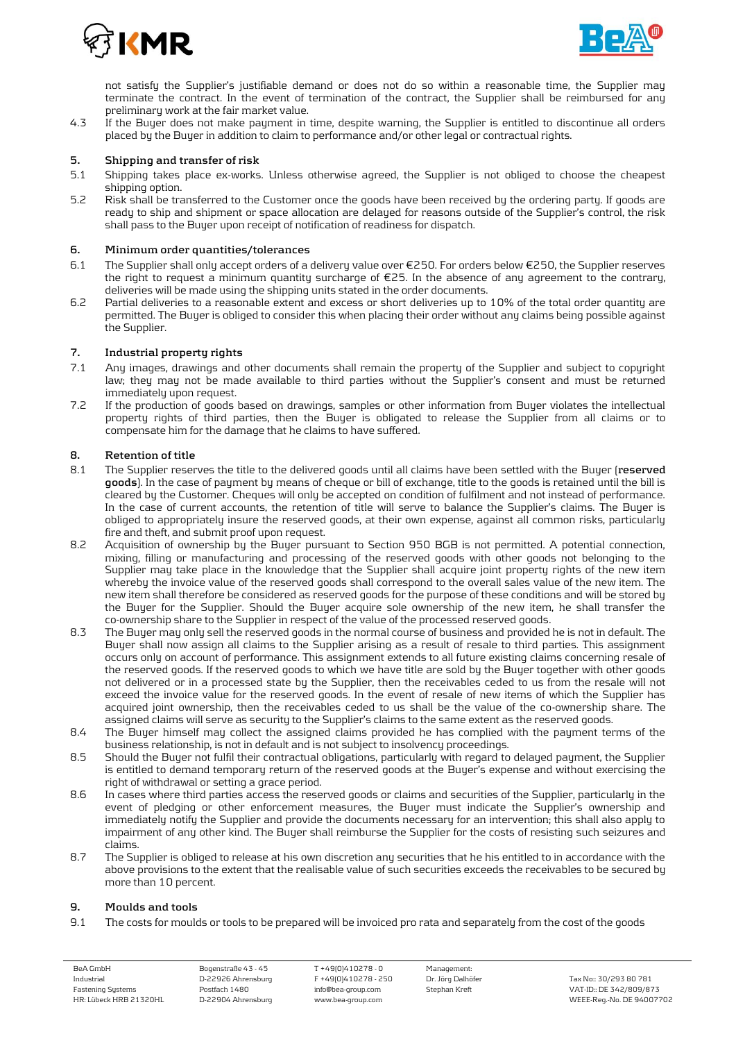



not satisfy the Supplier's justifiable demand or does not do so within a reasonable time, the Supplier may terminate the contract. In the event of termination of the contract, the Supplier shall be reimbursed for any preliminary work at the fair market value.

4.3 If the Buyer does not make payment in time, despite warning, the Supplier is entitled to discontinue all orders placed by the Buyer in addition to claim to performance and/or other legal or contractual rights.

#### **5. Shipping and transfer of risk**

- 5.1 Shipping takes place ex-works. Unless otherwise agreed, the Supplier is not obliged to choose the cheapest shipping option.
- 5.2 Risk shall be transferred to the Customer once the goods have been received by the ordering party. If goods are ready to ship and shipment or space allocation are delayed for reasons outside of the Supplier's control, the risk shall pass to the Buyer upon receipt of notification of readiness for dispatch.

#### **6. Minimum order quantities/tolerances**

- 6.1 The Supplier shall only accept orders of a delivery value over €250. For orders below €250, the Supplier reserves the right to request a minimum quantity surcharge of €25. In the absence of any agreement to the contrary, deliveries will be made using the shipping units stated in the order documents.
- 6.2 Partial deliveries to a reasonable extent and excess or short deliveries up to 10% of the total order quantity are permitted. The Buyer is obliged to consider this when placing their order without any claims being possible against the Supplier.

# **7. Industrial property rights**

- 7.1 Any images, drawings and other documents shall remain the property of the Supplier and subject to copyright law; they may not be made available to third parties without the Supplier's consent and must be returned immediately upon request.
- 7.2 If the production of goods based on drawings, samples or other information from Buyer violates the intellectual property rights of third parties, then the Buyer is obligated to release the Supplier from all claims or to compensate him for the damage that he claims to have suffered.

## **8. Retention of title**

- 8.1 The Supplier reserves the title to the delivered goods until all claims have been settled with the Buyer (**reserved goods**). In the case of payment by means of cheque or bill of exchange, title to the goods is retained until the bill is cleared by the Customer. Cheques will only be accepted on condition of fulfilment and not instead of performance. In the case of current accounts, the retention of title will serve to balance the Supplier's claims. The Buyer is obliged to appropriately insure the reserved goods, at their own expense, against all common risks, particularly fire and theft, and submit proof upon request.
- 8.2 Acquisition of ownership by the Buyer pursuant to Section 950 BGB is not permitted. A potential connection, mixing, filling or manufacturing and processing of the reserved goods with other goods not belonging to the Supplier may take place in the knowledge that the Supplier shall acquire joint property rights of the new item whereby the invoice value of the reserved goods shall correspond to the overall sales value of the new item. The new item shall therefore be considered as reserved goods for the purpose of these conditions and will be stored by the Buyer for the Supplier. Should the Buyer acquire sole ownership of the new item, he shall transfer the co-ownership share to the Supplier in respect of the value of the processed reserved goods.
- 8.3 The Buyer may only sell the reserved goods in the normal course of business and provided he is not in default. The Buyer shall now assign all claims to the Supplier arising as a result of resale to third parties. This assignment occurs only on account of performance. This assignment extends to all future existing claims concerning resale of the reserved goods. If the reserved goods to which we have title are sold by the Buyer together with other goods not delivered or in a processed state by the Supplier, then the receivables ceded to us from the resale will not exceed the invoice value for the reserved goods. In the event of resale of new items of which the Supplier has acquired joint ownership, then the receivables ceded to us shall be the value of the co-ownership share. The assigned claims will serve as security to the Supplier's claims to the same extent as the reserved goods.
- 8.4 The Buyer himself may collect the assigned claims provided he has complied with the payment terms of the business relationship, is not in default and is not subject to insolvency proceedings.
- 8.5 Should the Buyer not fulfil their contractual obligations, particularly with regard to delayed payment, the Supplier is entitled to demand temporary return of the reserved goods at the Buyer's expense and without exercising the right of withdrawal or setting a grace period.
- 8.6 In cases where third parties access the reserved goods or claims and securities of the Supplier, particularly in the event of pledging or other enforcement measures, the Buyer must indicate the Supplier's ownership and immediately notify the Supplier and provide the documents necessary for an intervention; this shall also apply to impairment of any other kind. The Buyer shall reimburse the Supplier for the costs of resisting such seizures and claims.
- 8.7 The Supplier is obliged to release at his own discretion any securities that he his entitled to in accordance with the above provisions to the extent that the realisable value of such securities exceeds the receivables to be secured by more than 10 percent.

#### **9. Moulds and tools**

9.1 The costs for moulds or tools to be prepared will be invoiced pro rata and separately from the cost of the goods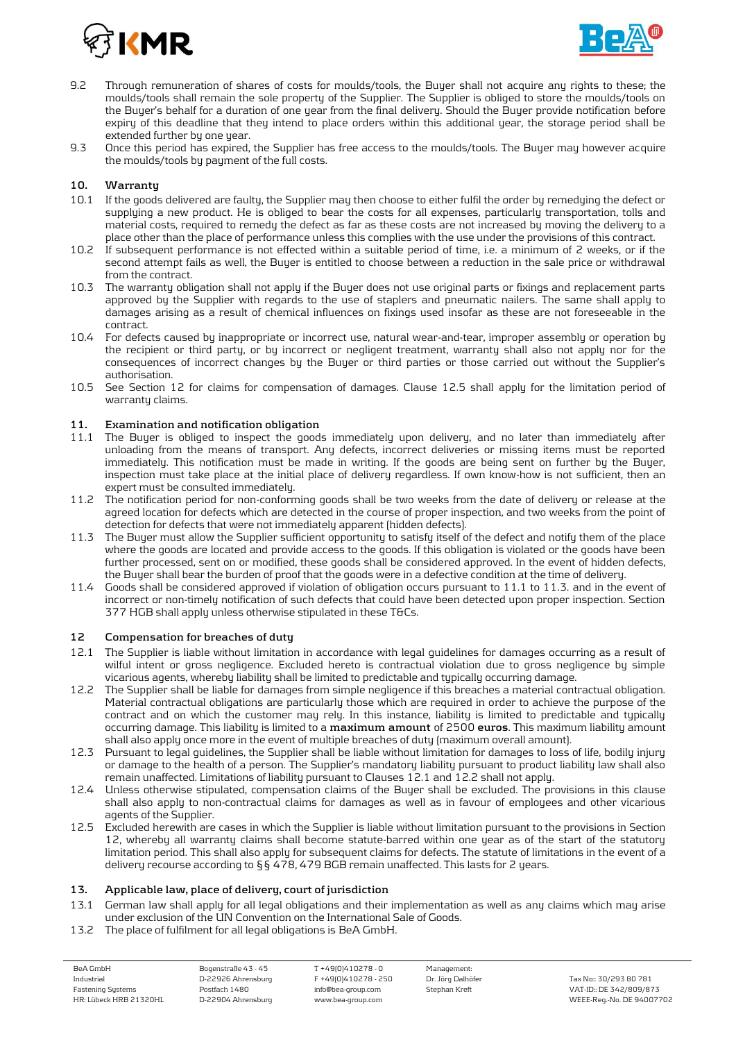



- 9.2 Through remuneration of shares of costs for moulds/tools, the Buyer shall not acquire any rights to these; the moulds/tools shall remain the sole property of the Supplier. The Supplier is obliged to store the moulds/tools on the Buyer's behalf for a duration of one year from the final delivery. Should the Buyer provide notification before expiry of this deadline that they intend to place orders within this additional year, the storage period shall be extended further by one year.
- 9.3 Once this period has expired, the Supplier has free access to the moulds/tools. The Buyer may however acquire the moulds/tools by payment of the full costs.

## **10. Warranty**

- 10.1 If the goods delivered are faulty, the Supplier may then choose to either fulfil the order by remedying the defect or supplying a new product. He is obliged to bear the costs for all expenses, particularly transportation, tolls and material costs, required to remedy the defect as far as these costs are not increased by moving the delivery to a place other than the place of performance unless this complies with the use under the provisions of this contract.
- 10.2 If subsequent performance is not effected within a suitable period of time, i.e. a minimum of 2 weeks, or if the second attempt fails as well, the Buyer is entitled to choose between a reduction in the sale price or withdrawal from the contract.
- 10.3 The warranty obligation shall not apply if the Buyer does not use original parts or fixings and replacement parts approved by the Supplier with regards to the use of staplers and pneumatic nailers. The same shall apply to damages arising as a result of chemical influences on fixings used insofar as these are not foreseeable in the contract.
- 10.4 For defects caused by inappropriate or incorrect use, natural wear-and-tear, improper assembly or operation by the recipient or third party, or by incorrect or negligent treatment, warranty shall also not apply nor for the consequences of incorrect changes by the Buyer or third parties or those carried out without the Supplier's authorisation.
- 10.5 See Section 12 for claims for compensation of damages. Clause 12.5 shall apply for the limitation period of warranty claims.

# **11. Examination and notification obligation**

- The Buyer is obliged to inspect the goods immediately upon delivery, and no later than immediately after unloading from the means of transport. Any defects, incorrect deliveries or missing items must be reported immediately. This notification must be made in writing. If the goods are being sent on further by the Buyer, inspection must take place at the initial place of delivery regardless. If own know-how is not sufficient, then an expert must be consulted immediately.
- 11.2 The notification period for non-conforming goods shall be two weeks from the date of delivery or release at the agreed location for defects which are detected in the course of proper inspection, and two weeks from the point of detection for defects that were not immediately apparent (hidden defects).
- 11.3 The Buyer must allow the Supplier sufficient opportunity to satisfy itself of the defect and notify them of the place where the goods are located and provide access to the goods. If this obligation is violated or the goods have been further processed, sent on or modified, these goods shall be considered approved. In the event of hidden defects, the Buyer shall bear the burden of proof that the goods were in a defective condition at the time of delivery.
- 11.4 Goods shall be considered approved if violation of obligation occurs pursuant to 11.1 to 11.3. and in the event of incorrect or non-timely notification of such defects that could have been detected upon proper inspection. Section 377 HGB shall apply unless otherwise stipulated in these T&Cs.

#### **12 Compensation for breaches of duty**

- 12.1 The Supplier is liable without limitation in accordance with legal guidelines for damages occurring as a result of wilful intent or gross negligence. Excluded hereto is contractual violation due to gross negligence by simple vicarious agents, whereby liability shall be limited to predictable and typically occurring damage.
- 12.2 The Supplier shall be liable for damages from simple negligence if this breaches a material contractual obligation. Material contractual obligations are particularly those which are required in order to achieve the purpose of the contract and on which the customer may rely. In this instance, liability is limited to predictable and typically occurring damage. This liability is limited to a **maximum amount** of 2500 **euros**. This maximum liability amount shall also apply once more in the event of multiple breaches of duty (maximum overall amount).
- 12.3 Pursuant to legal guidelines, the Supplier shall be liable without limitation for damages to loss of life, bodily injury or damage to the health of a person. The Supplier's mandatory liability pursuant to product liability law shall also remain unaffected. Limitations of liability pursuant to Clauses 12.1 and 12.2 shall not apply.
- 12.4 Unless otherwise stipulated, compensation claims of the Buyer shall be excluded. The provisions in this clause shall also apply to non-contractual claims for damages as well as in favour of employees and other vicarious agents of the Supplier.
- 12.5 Excluded herewith are cases in which the Supplier is liable without limitation pursuant to the provisions in Section 12, whereby all warranty claims shall become statute-barred within one year as of the start of the statutory limitation period. This shall also apply for subsequent claims for defects. The statute of limitations in the event of a delivery recourse according to §§ 478, 479 BGB remain unaffected. This lasts for 2 years.

#### **13. Applicable law, place of delivery, court of jurisdiction**

- 13.1 German law shall apply for all legal obligations and their implementation as well as any claims which may arise under exclusion of the UN Convention on the International Sale of Goods.
- 13.2 The place of fulfilment for all legal obligations is BeA GmbH.

| BeA GmbH               | Bogenstraße 43 - 45 | T +49(0)410278 - 0   | Management:       |
|------------------------|---------------------|----------------------|-------------------|
| Industrial             | D-22926 Ahrensburg  | F +49(0)410278 - 250 | Dr. Jörg Dalhöfer |
| Fastening Systems      | Postfach 1480       | info@bea-group.com   | Stephan Kreft     |
| HR: Lübeck HRB 21320HL | D-22904 Ahrensburg  | www.bea-group.com    |                   |